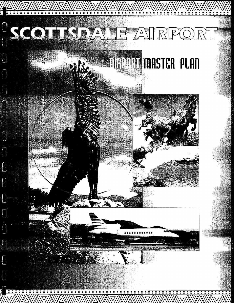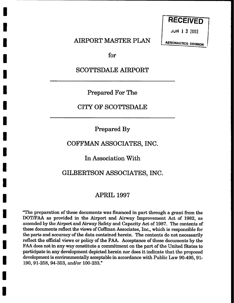**RECEIVED** 

**JuN 1 3 2003** 

AIRPORT MASTER PLAN

**AERONAUTICS DIVISION** 

for

I

I

I

I

I

I

I

I

I

I

I

I

I

I

I

I

I

I

## SCOTTSDALE AIRPORT

**Prepared For The** 

## CITY OF SCOTTSDALE

Prepared By

## COFFMAN ASSOCIATES, INC.

In Association With

## GILBERTSON ASSOCIATES, INC.

## APRIL 1997

"The preparation of these documents was financed in part through a grant from the DOT/FAA as provided in the Airport and Airway Improvement Act of 1982, as amended by the Airport and Airway Safety and Capacity Act of 1987. The contents of these documents reflect the views of Coffman Associates, Inc., which is responsible for the parts and accuracy of the data contained herein. The contents do not necessarily reflect the official views or policy of the FAA. Acceptance of these documents by the FAA does not in any way constitute a commitment on the part of the United States to participate in any development depicted herein nor does it indicate that the proposed development is environmentally acceptable in accordance with Public Law 90-495, 91- 190, 91-258, 94-353, and/or 100-233."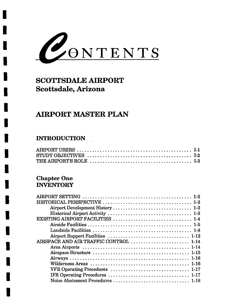

# SCOTTSDALE AIRPORT Scottsdale, Arizona

## AIRPORT MASTER PLAN

## INTRODUCTION

I

I

I

I

I

I

I

I

I

I

I

I

I

I

I

I

I

I

I

## Chapter One **INVENTORY**

| EXISTING AIRPORT FACILITIES  1-4       |
|----------------------------------------|
|                                        |
|                                        |
|                                        |
| AIRSPACE AND AIR TRAFFIC CONTROL  1-14 |
|                                        |
|                                        |
|                                        |
|                                        |
|                                        |
|                                        |
|                                        |
|                                        |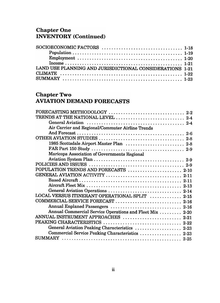#### **Chapter On** INVENTORY (Continu

| LAND USE PLANNING AND JURISDICTIONAL CONSIDERATIONS 1-21 |  |
|----------------------------------------------------------|--|
|                                                          |  |
|                                                          |  |

## Chapter Two AVIATION DEMAND FORECASTS

| FORECASTING METHODOLOGY  2-2                             |
|----------------------------------------------------------|
| TRENDS AT THE NATIONAL LEVEL  2-4                        |
|                                                          |
| Air Carrier and Regional/Commuter Airline Trends         |
|                                                          |
|                                                          |
| 1985 Scottsdale Airport Master Plan  2-8                 |
|                                                          |
| Maricopa Association of Governments Regional             |
|                                                          |
|                                                          |
| POPULATION TRENDS AND FORECASTS  2-10                    |
|                                                          |
|                                                          |
|                                                          |
| General Aviation Operations  2-14                        |
| LOCAL VERSUS ITINERANT OPERATIONAL SPLIT  2-15           |
| COMMERCIAL SERVICE FORECAST  2-16                        |
| Annual Enplaned Passengers  2-16                         |
| Annual Commercial Service Operations and Fleet Mix  2-20 |
| ANNUAL INSTRUMENT APPROACHES  2-21                       |
|                                                          |
| General Aviation Peaking Characteristics  2-23           |
| Commercial Service Peaking Characteristics  2-23         |
|                                                          |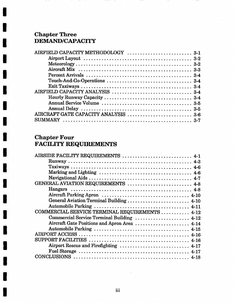## **Chapter Three DEMAND/CAPACITY**

**I** 

**I** 

**I** 

**I** 

**I** 

**I** 

**I** 

**I** 

**I** 

**I** 

**I** 

**I** 

**I** 

**I** 

**I** 

**I** 

**I** 

**I** 

**I** 

| AIRFIELD CAPACITY METHODOLOGY  3-1                                                                              |  |
|-----------------------------------------------------------------------------------------------------------------|--|
| Airport Layout $\ldots \ldots \ldots \ldots \ldots \ldots \ldots \ldots \ldots \ldots \ldots \ldots \ldots$ 3-2 |  |
|                                                                                                                 |  |
|                                                                                                                 |  |
|                                                                                                                 |  |
|                                                                                                                 |  |
|                                                                                                                 |  |
|                                                                                                                 |  |
|                                                                                                                 |  |
|                                                                                                                 |  |
|                                                                                                                 |  |
| AIRCRAFT GATE CAPACITY ANALYSIS  3-6                                                                            |  |
|                                                                                                                 |  |
|                                                                                                                 |  |

 $- - -$ 

#### **Chapter Four FACILITY REQUIREMENTS**

| AIRSIDE FACILITY REQUIREMENTS  4-1             |
|------------------------------------------------|
|                                                |
|                                                |
|                                                |
|                                                |
| GENERAL AVIATION REQUIREMENTS  4-8             |
|                                                |
|                                                |
| General Aviation Terminal Building  4-10       |
|                                                |
| COMMERCIAL SERVICE TERMINAL REQUIREMENTS  4-12 |
| Commercial Service Terminal Building  4-12     |
| Aircraft Gate Positions and Apron Area 4-14    |
|                                                |
|                                                |
|                                                |
| Airport Rescue and Firefighting  4-17          |
|                                                |
|                                                |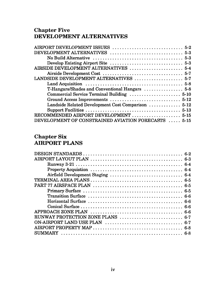#### Unapter Fi DEVELOPMENT ALTERI

#### Chapter Si AIRPORT PLANS

| RUNWAY PROTECTION ZONE PLANS  6-7 |  |
|-----------------------------------|--|
|                                   |  |
|                                   |  |
|                                   |  |
|                                   |  |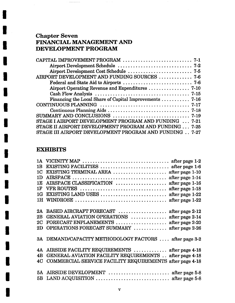## **Chapter Seven FINANCIAL MANAGEMENT AND DEVELOPMENT PROGRAM**

and the company of the company

| AIRPORT DEVELOPMENT AND FUNDING SOURCES  7-6                                  |
|-------------------------------------------------------------------------------|
|                                                                               |
|                                                                               |
|                                                                               |
| Financing the Local Share of Capital Improvements $\ldots \ldots \ldots$ 7-16 |
|                                                                               |
|                                                                               |
|                                                                               |
| STAGE I AIRPORT DEVELOPMENT PROGRAM AND FUNDING  7-21                         |
| STAGE II AIRPORT DEVELOPMENT PROGRAM AND FUNDING  7-25                        |
| STAGE III AIRPORT DEVELOPMENT PROGRAM AND FUNDING 7-27                        |

### **EXHIBITS**

**I** 

 $\bar{z}$ 

**I** 

**I** 

**I** 

**I** 

**I** 

**I** 

**I** 

**I** 

**I** 

**I** 

**I** 

**I** 

**I** 

**I** 

**I** 

**I** 

**I** 

**I** 

| 1 <sub>B</sub> | EXISTING FACILITIES  after page 1-6                      |
|----------------|----------------------------------------------------------|
| 1 <sup>C</sup> | EXISTING TERMINAL AREA  after page 1-10                  |
| 1 <sub>D</sub> |                                                          |
| 1E             | AIRSPACE CLASSIFICATION  after page 1-16                 |
| 1 <sub>F</sub> |                                                          |
| 1G             |                                                          |
|                |                                                          |
|                |                                                          |
| 2A             | BASED AIRCRAFT FORECAST  after page 2-12                 |
| 2B             | GENERAL AVIATION OPERATIONS  after page 2-14             |
| 2C             | FORECAST ENPLANEMENTS  after page 2-20                   |
| 2D             | OPERATIONS FORECAST SUMMARY  after page 2-26             |
|                |                                                          |
|                | 3A DEMAND/CAPACITY METHODOLOGY FACTORS  after page 3-2   |
|                |                                                          |
|                | 4A AIRSIDE FACILITY REQUIREMENTS  after page 4-18        |
| 4B             | GENERAL AVIATION FACILITY REQUIREMENTS after page 4-18   |
| 4C             | COMMERCIAL SERVICE FACILITY REQUIREMENTS after page 4-18 |
|                |                                                          |
|                | 5A AIRSIDE DEVELOPMENT  after page 5-8                   |
|                |                                                          |
|                |                                                          |